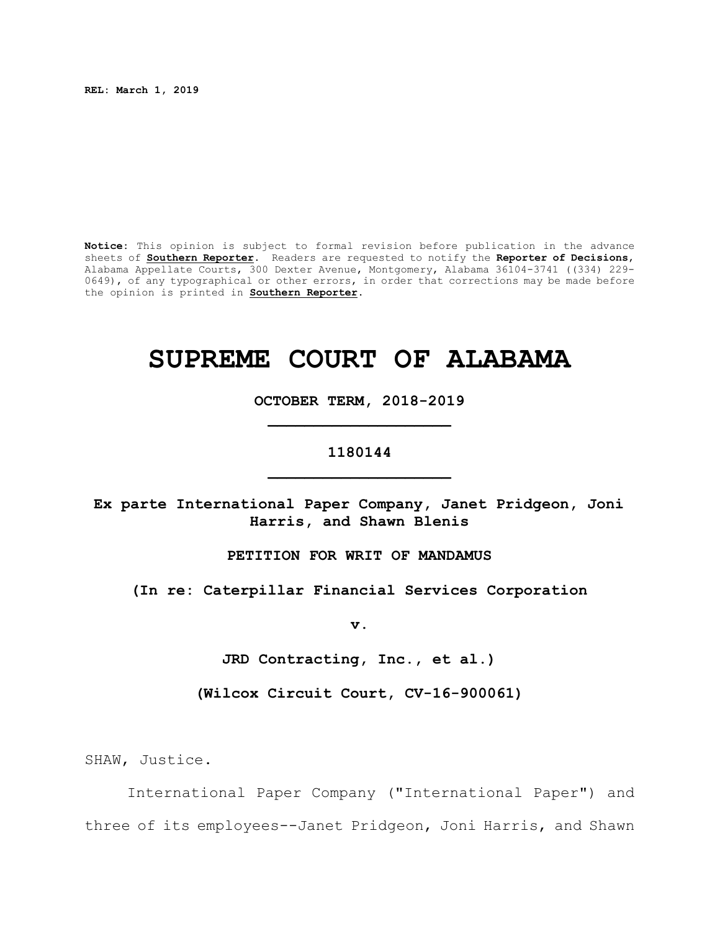**REL: March 1, 2019**

**Notice:** This opinion is subject to formal revision before publication in the advance sheets of **Southern Reporter**. Readers are requested to notify the **Reporter of Decisions**, Alabama Appellate Courts, 300 Dexter Avenue, Montgomery, Alabama 36104-3741 ((334) 229- 0649), of any typographical or other errors, in order that corrections may be made before the opinion is printed in **Southern Reporter**.

# **SUPREME COURT OF ALABAMA**

**OCTOBER TERM, 2018-2019 \_\_\_\_\_\_\_\_\_\_\_\_\_\_\_\_\_\_\_\_**

# **1180144 \_\_\_\_\_\_\_\_\_\_\_\_\_\_\_\_\_\_\_\_**

**Ex parte International Paper Company, Janet Pridgeon, Joni Harris, and Shawn Blenis**

**PETITION FOR WRIT OF MANDAMUS**

**(In re: Caterpillar Financial Services Corporation**

**v.**

**JRD Contracting, Inc., et al.)**

**(Wilcox Circuit Court, CV-16-900061)**

SHAW, Justice.

International Paper Company ("International Paper") and three of its employees--Janet Pridgeon, Joni Harris, and Shawn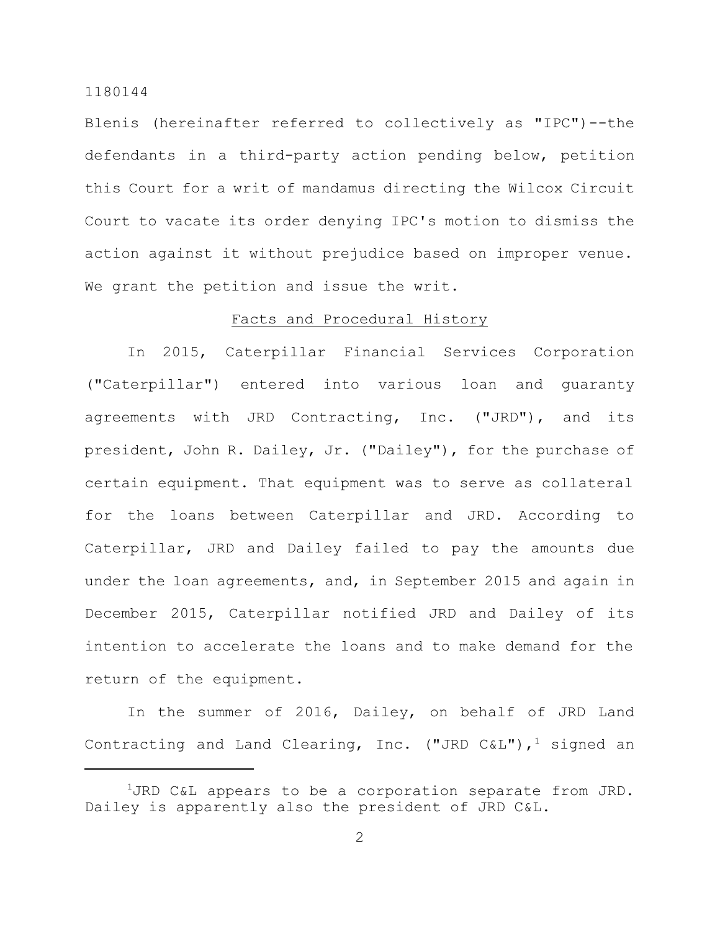Blenis (hereinafter referred to collectively as "IPC")--the defendants in a third-party action pending below, petition this Court for a writ of mandamus directing the Wilcox Circuit Court to vacate its order denying IPC's motion to dismiss the action against it without prejudice based on improper venue. We grant the petition and issue the writ.

# Facts and Procedural History

In 2015, Caterpillar Financial Services Corporation ("Caterpillar") entered into various loan and guaranty agreements with JRD Contracting, Inc. ("JRD"), and its president, John R. Dailey, Jr. ("Dailey"), for the purchase of certain equipment. That equipment was to serve as collateral for the loans between Caterpillar and JRD. According to Caterpillar, JRD and Dailey failed to pay the amounts due under the loan agreements, and, in September 2015 and again in December 2015, Caterpillar notified JRD and Dailey of its intention to accelerate the loans and to make demand for the return of the equipment.

In the summer of 2016, Dailey, on behalf of JRD Land Contracting and Land Clearing, Inc. ("JRD C&L"),<sup>1</sup> signed an

 $1$ JRD C&L appears to be a corporation separate from JRD. Dailey is apparently also the president of JRD C&L.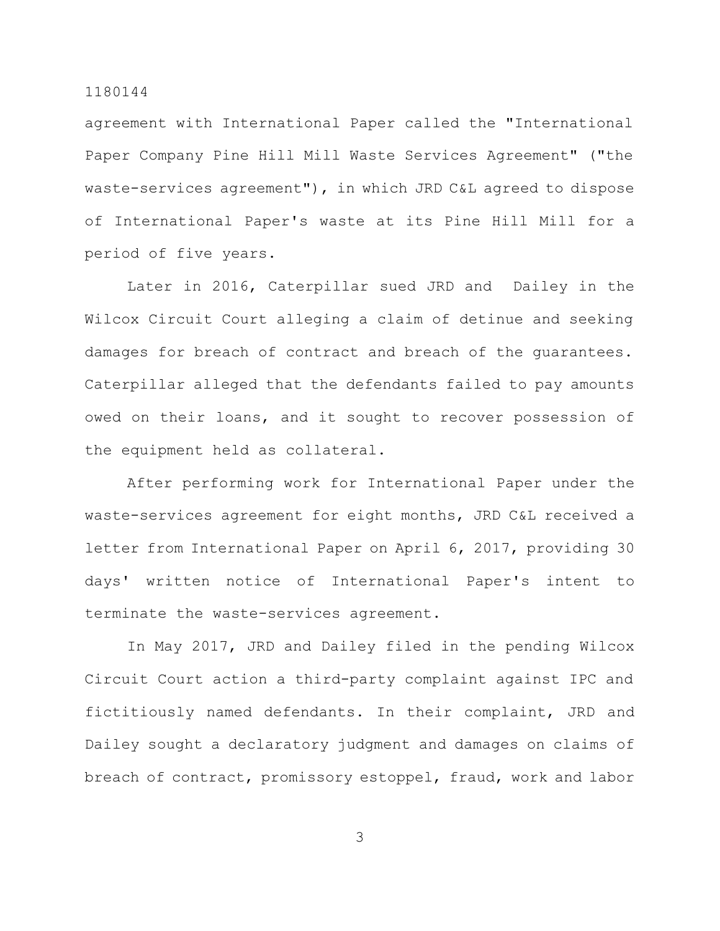agreement with International Paper called the "International Paper Company Pine Hill Mill Waste Services Agreement" ("the waste-services agreement"), in which JRD C&L agreed to dispose of International Paper's waste at its Pine Hill Mill for a period of five years.

Later in 2016, Caterpillar sued JRD and Dailey in the Wilcox Circuit Court alleging a claim of detinue and seeking damages for breach of contract and breach of the guarantees. Caterpillar alleged that the defendants failed to pay amounts owed on their loans, and it sought to recover possession of the equipment held as collateral.

After performing work for International Paper under the waste-services agreement for eight months, JRD C&L received a letter from International Paper on April 6, 2017, providing 30 days' written notice of International Paper's intent to terminate the waste-services agreement.

In May 2017, JRD and Dailey filed in the pending Wilcox Circuit Court action a third-party complaint against IPC and fictitiously named defendants. In their complaint, JRD and Dailey sought a declaratory judgment and damages on claims of breach of contract, promissory estoppel, fraud, work and labor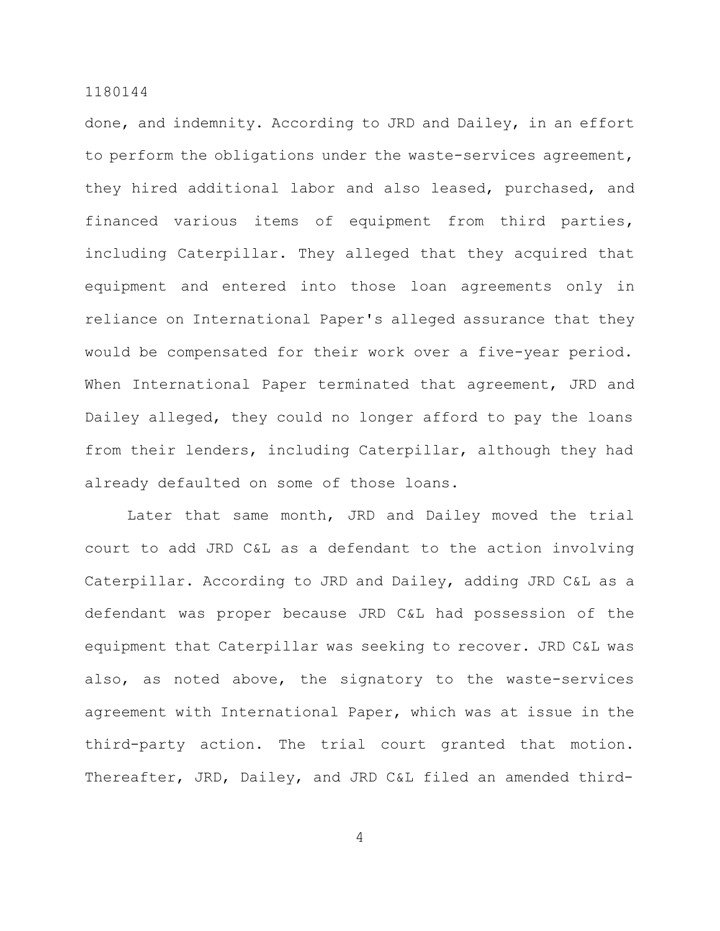done, and indemnity. According to JRD and Dailey, in an effort to perform the obligations under the waste-services agreement, they hired additional labor and also leased, purchased, and financed various items of equipment from third parties, including Caterpillar. They alleged that they acquired that equipment and entered into those loan agreements only in reliance on International Paper's alleged assurance that they would be compensated for their work over a five-year period. When International Paper terminated that agreement, JRD and Dailey alleged, they could no longer afford to pay the loans from their lenders, including Caterpillar, although they had already defaulted on some of those loans.

Later that same month, JRD and Dailey moved the trial court to add JRD C&L as a defendant to the action involving Caterpillar. According to JRD and Dailey, adding JRD C&L as a defendant was proper because JRD C&L had possession of the equipment that Caterpillar was seeking to recover. JRD C&L was also, as noted above, the signatory to the waste-services agreement with International Paper, which was at issue in the third-party action. The trial court granted that motion. Thereafter, JRD, Dailey, and JRD C&L filed an amended third-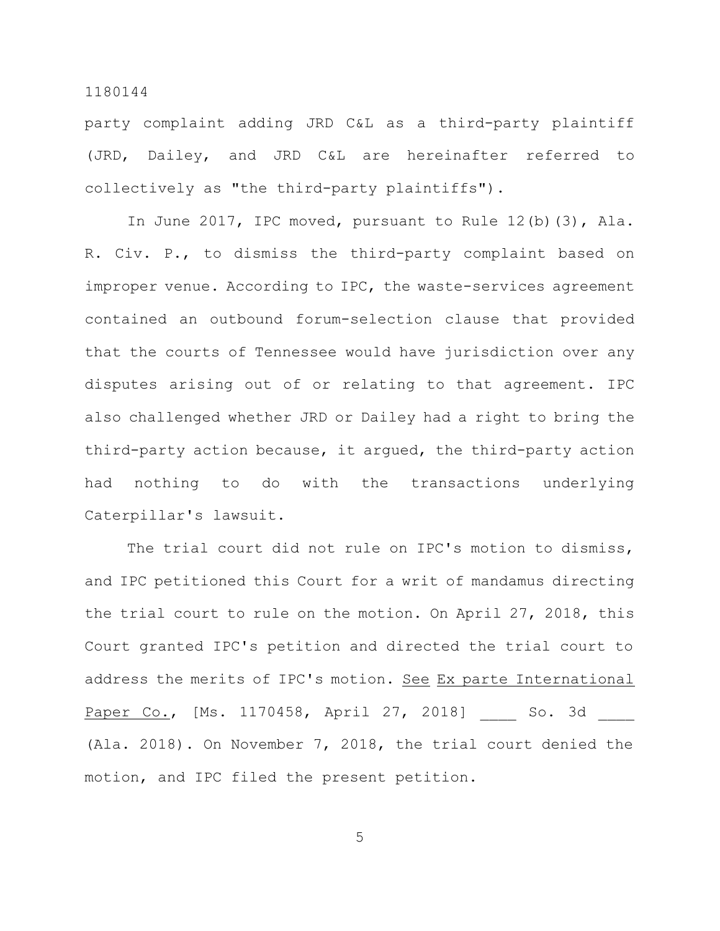party complaint adding JRD C&L as a third-party plaintiff (JRD, Dailey, and JRD C&L are hereinafter referred to collectively as "the third-party plaintiffs").

In June 2017, IPC moved, pursuant to Rule 12(b)(3), Ala. R. Civ. P., to dismiss the third-party complaint based on improper venue. According to IPC, the waste-services agreement contained an outbound forum-selection clause that provided that the courts of Tennessee would have jurisdiction over any disputes arising out of or relating to that agreement. IPC also challenged whether JRD or Dailey had a right to bring the third-party action because, it argued, the third-party action had nothing to do with the transactions underlying Caterpillar's lawsuit.

The trial court did not rule on IPC's motion to dismiss, and IPC petitioned this Court for a writ of mandamus directing the trial court to rule on the motion. On April 27, 2018, this Court granted IPC's petition and directed the trial court to address the merits of IPC's motion. See Ex parte International Paper Co., [Ms. 1170458, April 27, 2018] So. 3d (Ala. 2018). On November 7, 2018, the trial court denied the motion, and IPC filed the present petition.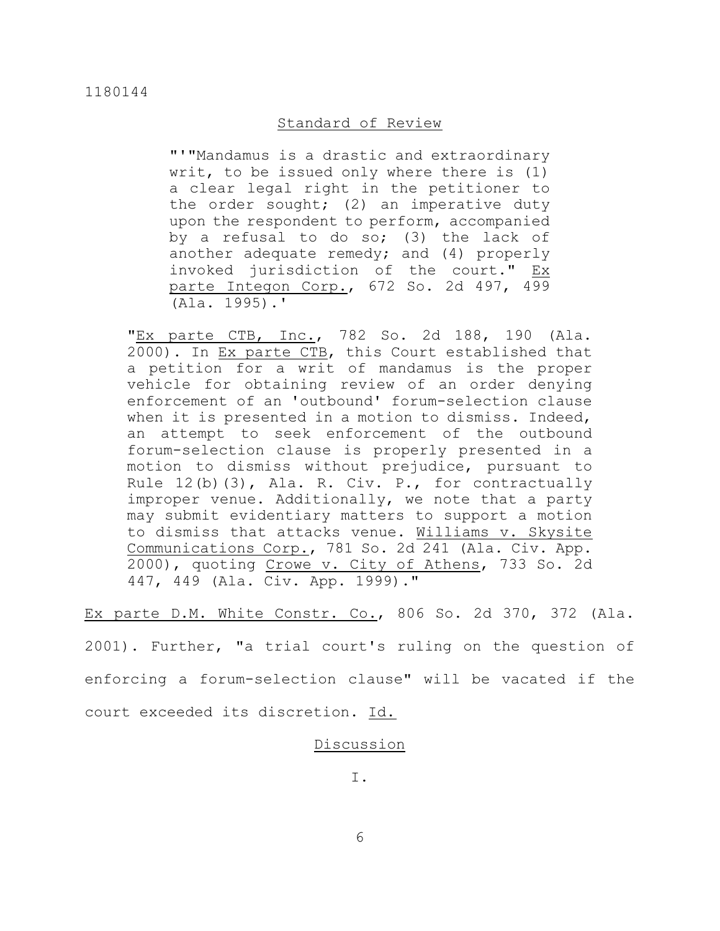# Standard of Review

"'"Mandamus is a drastic and extraordinary writ, to be issued only where there is (1) a clear legal right in the petitioner to the order sought; (2) an imperative duty upon the respondent to perform, accompanied by a refusal to do so; (3) the lack of another adequate remedy; and (4) properly invoked jurisdiction of the court." Ex parte Integon Corp., 672 So. 2d 497, 499 (Ala. 1995).'

"Ex parte CTB, Inc., 782 So. 2d 188, 190 (Ala. 2000). In Ex parte CTB, this Court established that a petition for a writ of mandamus is the proper vehicle for obtaining review of an order denying enforcement of an 'outbound' forum-selection clause when it is presented in a motion to dismiss. Indeed, an attempt to seek enforcement of the outbound forum-selection clause is properly presented in a motion to dismiss without prejudice, pursuant to Rule 12(b)(3), Ala. R. Civ. P., for contractually improper venue. Additionally, we note that a party may submit evidentiary matters to support a motion to dismiss that attacks venue. Williams v. Skysite Communications Corp., 781 So. 2d 241 (Ala. Civ. App. 2000), quoting Crowe v. City of Athens, 733 So. 2d 447, 449 (Ala. Civ. App. 1999)."

Ex parte D.M. White Constr. Co., 806 So. 2d 370, 372 (Ala.

2001). Further, "a trial court's ruling on the question of enforcing a forum-selection clause" will be vacated if the court exceeded its discretion. Id.

# Discussion

I.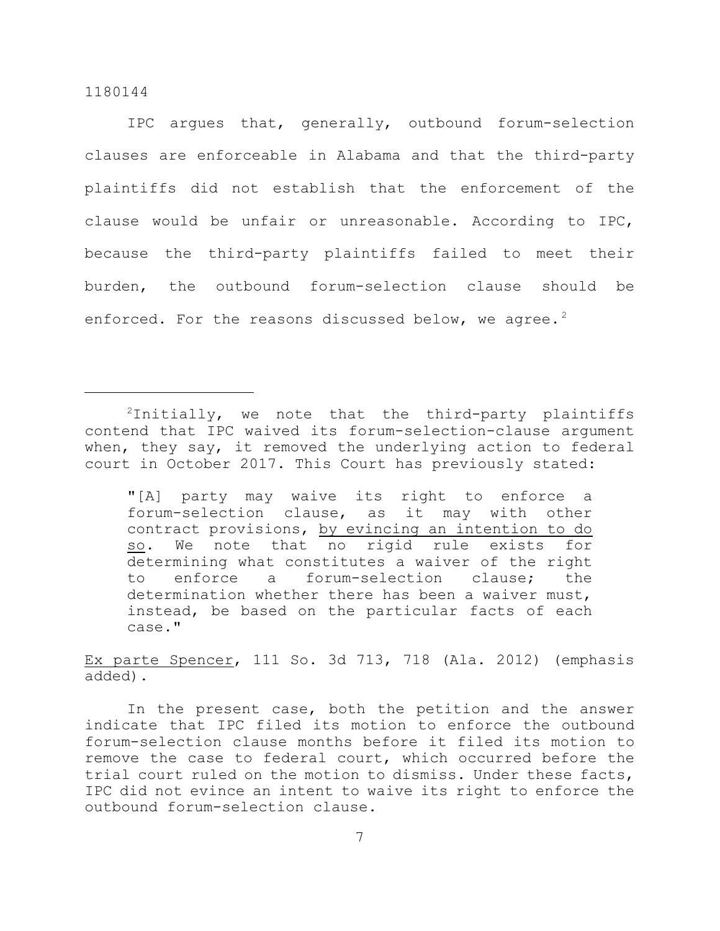IPC argues that, generally, outbound forum-selection clauses are enforceable in Alabama and that the third-party plaintiffs did not establish that the enforcement of the clause would be unfair or unreasonable. According to IPC, because the third-party plaintiffs failed to meet their burden, the outbound forum-selection clause should be enforced. For the reasons discussed below, we agree.<sup>2</sup>

"[A] party may waive its right to enforce a forum-selection clause, as it may with other contract provisions, by evincing an intention to do so. We note that no rigid rule exists for determining what constitutes a waiver of the right to enforce a forum-selection clause; the determination whether there has been a waiver must, instead, be based on the particular facts of each case."

Ex parte Spencer, 111 So. 3d 713, 718 (Ala. 2012) (emphasis added).

In the present case, both the petition and the answer indicate that IPC filed its motion to enforce the outbound forum-selection clause months before it filed its motion to remove the case to federal court, which occurred before the trial court ruled on the motion to dismiss. Under these facts, IPC did not evince an intent to waive its right to enforce the outbound forum-selection clause.

 $2$ Initially, we note that the third-party plaintiffs contend that IPC waived its forum-selection-clause argument when, they say, it removed the underlying action to federal court in October 2017. This Court has previously stated: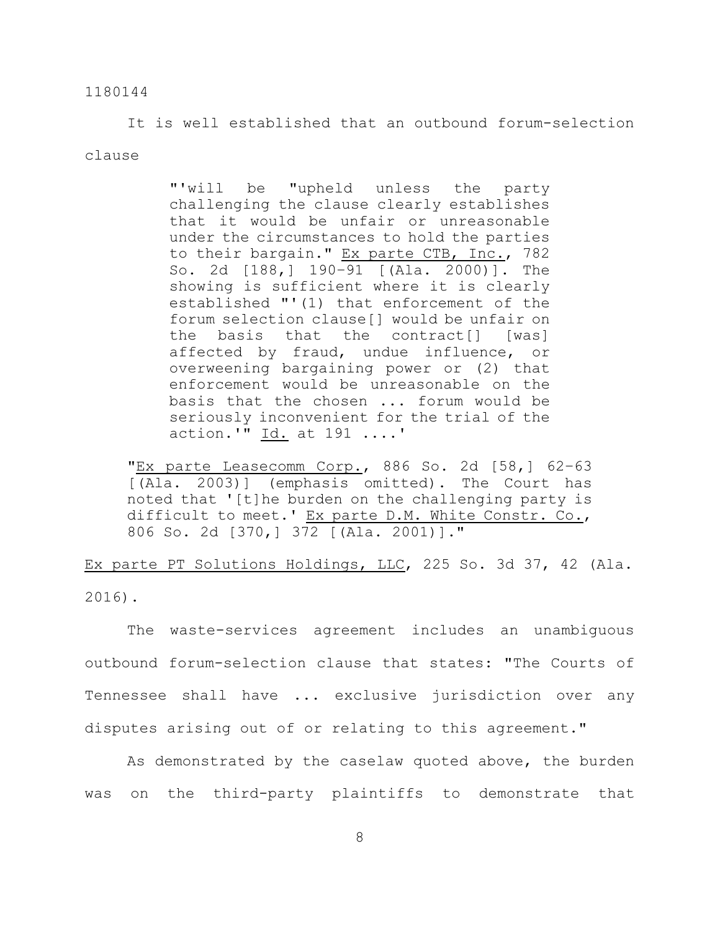It is well established that an outbound forum-selection clause

> "'will be "upheld unless the party challenging the clause clearly establishes that it would be unfair or unreasonable under the circumstances to hold the parties to their bargain." Ex parte CTB, Inc., 782 So. 2d [188,] 190–91 [(Ala. 2000)]. The showing is sufficient where it is clearly established "'(1) that enforcement of the forum selection clause[] would be unfair on the basis that the contract[] [was] affected by fraud, undue influence, or overweening bargaining power or (2) that enforcement would be unreasonable on the basis that the chosen ... forum would be seriously inconvenient for the trial of the action.'"  $\underline{Id.}$  at 191 ....'

"Ex parte Leasecomm Corp., 886 So. 2d [58,] 62–63 [(Ala. 2003)] (emphasis omitted). The Court has noted that '[t]he burden on the challenging party is difficult to meet.' Ex parte D.M. White Constr. Co., 806 So. 2d [370,] 372 [(Ala. 2001)]."

Ex parte PT Solutions Holdings, LLC, 225 So. 3d 37, 42 (Ala. 2016).

The waste-services agreement includes an unambiguous outbound forum-selection clause that states: "The Courts of Tennessee shall have ... exclusive jurisdiction over any disputes arising out of or relating to this agreement."

As demonstrated by the caselaw quoted above, the burden was on the third-party plaintiffs to demonstrate that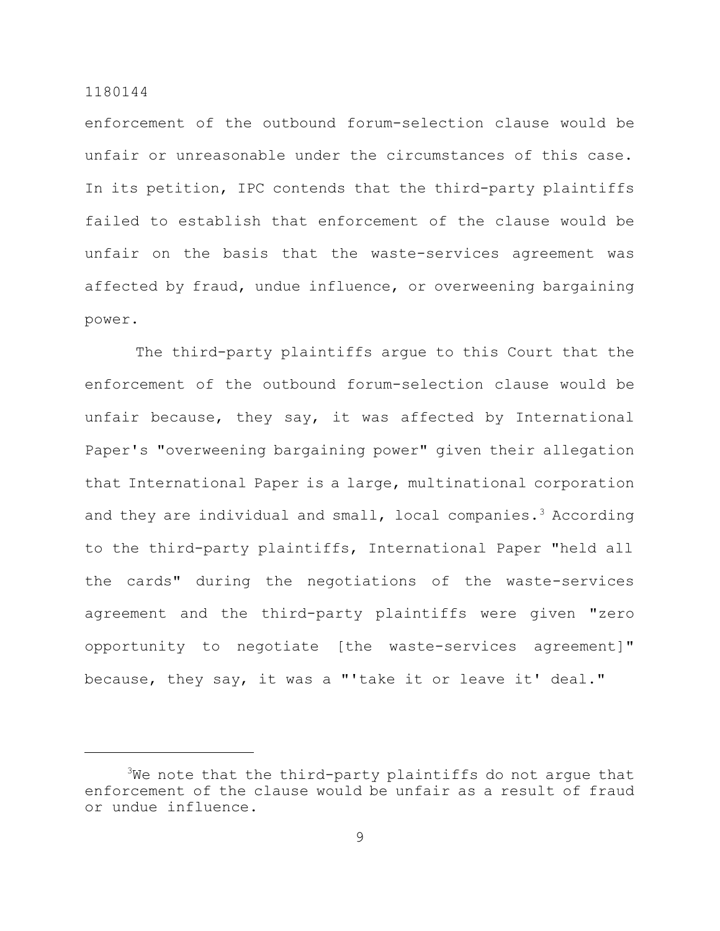enforcement of the outbound forum-selection clause would be unfair or unreasonable under the circumstances of this case. In its petition, IPC contends that the third-party plaintiffs failed to establish that enforcement of the clause would be unfair on the basis that the waste-services agreement was affected by fraud, undue influence, or overweening bargaining power.

The third-party plaintiffs argue to this Court that the enforcement of the outbound forum-selection clause would be unfair because, they say, it was affected by International Paper's "overweening bargaining power" given their allegation that International Paper is a large, multinational corporation and they are individual and small, local companies.<sup>3</sup> According to the third-party plaintiffs, International Paper "held all the cards" during the negotiations of the waste-services agreement and the third-party plaintiffs were given "zero opportunity to negotiate [the waste-services agreement]" because, they say, it was a "'take it or leave it' deal."

 $3$ We note that the third-party plaintiffs do not argue that enforcement of the clause would be unfair as a result of fraud or undue influence.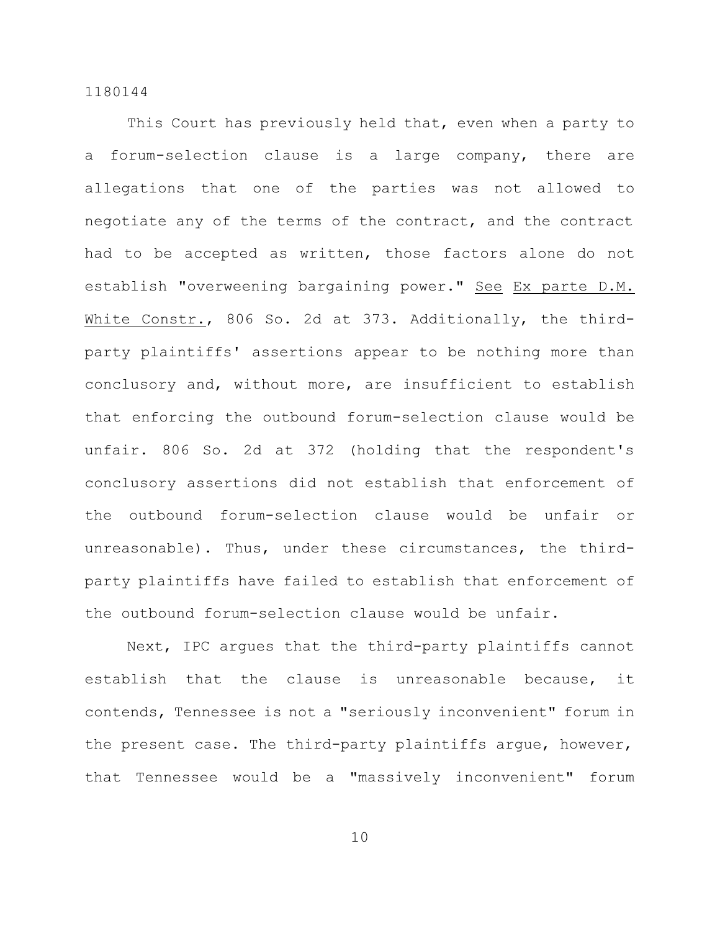This Court has previously held that, even when a party to a forum-selection clause is a large company, there are allegations that one of the parties was not allowed to negotiate any of the terms of the contract, and the contract had to be accepted as written, those factors alone do not establish "overweening bargaining power." See Ex parte D.M. White Constr., 806 So. 2d at 373. Additionally, the thirdparty plaintiffs' assertions appear to be nothing more than conclusory and, without more, are insufficient to establish that enforcing the outbound forum-selection clause would be unfair. 806 So. 2d at 372 (holding that the respondent's conclusory assertions did not establish that enforcement of the outbound forum-selection clause would be unfair or unreasonable). Thus, under these circumstances, the thirdparty plaintiffs have failed to establish that enforcement of the outbound forum-selection clause would be unfair.

Next, IPC argues that the third-party plaintiffs cannot establish that the clause is unreasonable because, it contends, Tennessee is not a "seriously inconvenient" forum in the present case. The third-party plaintiffs argue, however, that Tennessee would be a "massively inconvenient" forum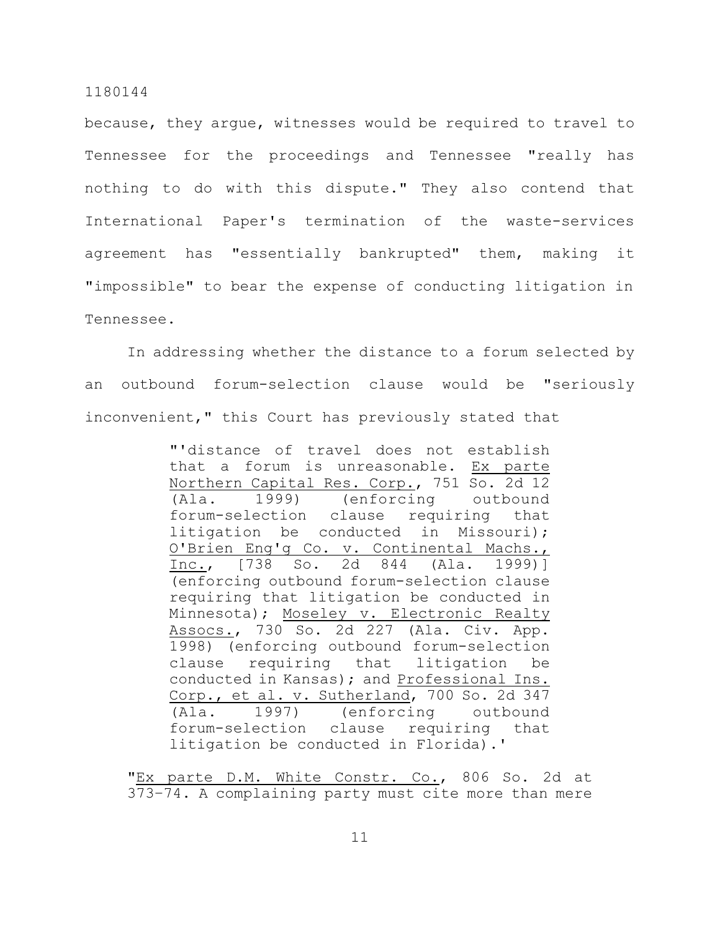because, they argue, witnesses would be required to travel to Tennessee for the proceedings and Tennessee "really has nothing to do with this dispute." They also contend that International Paper's termination of the waste-services agreement has "essentially bankrupted" them, making it "impossible" to bear the expense of conducting litigation in Tennessee.

In addressing whether the distance to a forum selected by an outbound forum-selection clause would be "seriously inconvenient," this Court has previously stated that

> "'distance of travel does not establish that a forum is unreasonable. Ex parte Northern Capital Res. Corp., 751 So. 2d 12 (Ala. 1999) (enforcing outbound forum-selection clause requiring that litigation be conducted in Missouri); O'Brien Eng'g Co. v. Continental Machs., Inc., [738 So. 2d 844 (Ala. 1999)] (enforcing outbound forum-selection clause requiring that litigation be conducted in Minnesota); Moseley v. Electronic Realty Assocs., 730 So. 2d 227 (Ala. Civ. App. 1998) (enforcing outbound forum-selection clause requiring that litigation be conducted in Kansas); and Professional Ins. Corp., et al. v. Sutherland, 700 So. 2d 347 (Ala. 1997) (enforcing outbound forum-selection clause requiring that litigation be conducted in Florida).'

"Ex parte D.M. White Constr. Co., 806 So. 2d at 373–74. A complaining party must cite more than mere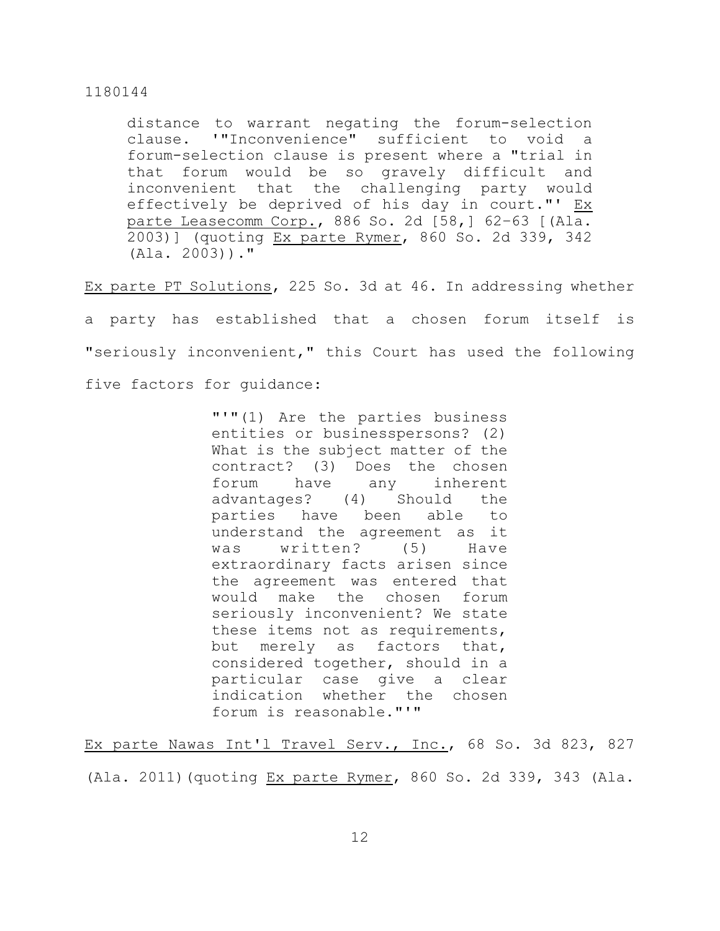distance to warrant negating the forum-selection clause. '"Inconvenience" sufficient to void a forum-selection clause is present where a "trial in that forum would be so gravely difficult and inconvenient that the challenging party would effectively be deprived of his day in court."' Ex parte Leasecomm Corp., 886 So. 2d [58,] 62–63 [(Ala. 2003)] (quoting Ex parte Rymer, 860 So. 2d 339, 342 (Ala. 2003))."

Ex parte PT Solutions, 225 So. 3d at 46. In addressing whether

a party has established that a chosen forum itself is "seriously inconvenient," this Court has used the following five factors for guidance:

> "'"(1) Are the parties business entities or businesspersons? (2) What is the subject matter of the contract? (3) Does the chosen forum have any inherent advantages? (4) Should the parties have been able to understand the agreement as it was written? (5) Have extraordinary facts arisen since the agreement was entered that would make the chosen forum seriously inconvenient? We state these items not as requirements, but merely as factors that, considered together, should in a particular case give a clear indication whether the chosen forum is reasonable."'"

Ex parte Nawas Int'l Travel Serv., Inc., 68 So. 3d 823, 827

(Ala. 2011)(quoting Ex parte Rymer, 860 So. 2d 339, 343 (Ala.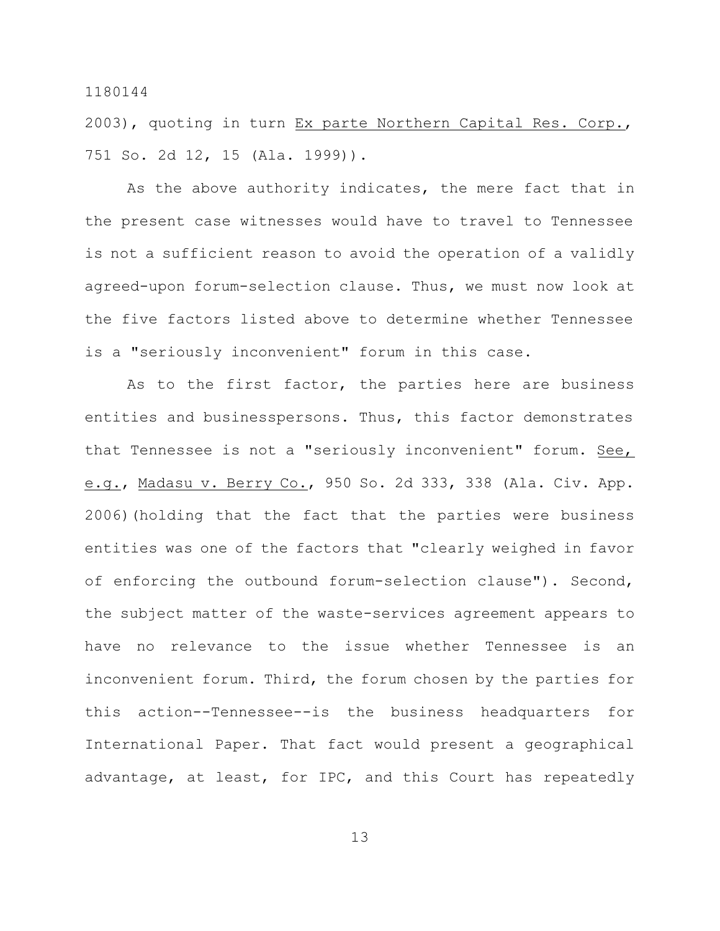2003), quoting in turn Ex parte Northern Capital Res. Corp., 751 So. 2d 12, 15 (Ala. 1999)).

As the above authority indicates, the mere fact that in the present case witnesses would have to travel to Tennessee is not a sufficient reason to avoid the operation of a validly agreed-upon forum-selection clause. Thus, we must now look at the five factors listed above to determine whether Tennessee is a "seriously inconvenient" forum in this case.

As to the first factor, the parties here are business entities and businesspersons. Thus, this factor demonstrates that Tennessee is not a "seriously inconvenient" forum. See, e.g., Madasu v. Berry Co., 950 So. 2d 333, 338 (Ala. Civ. App. 2006)(holding that the fact that the parties were business entities was one of the factors that "clearly weighed in favor of enforcing the outbound forum-selection clause"). Second, the subject matter of the waste-services agreement appears to have no relevance to the issue whether Tennessee is an inconvenient forum. Third, the forum chosen by the parties for this action--Tennessee--is the business headquarters for International Paper. That fact would present a geographical advantage, at least, for IPC, and this Court has repeatedly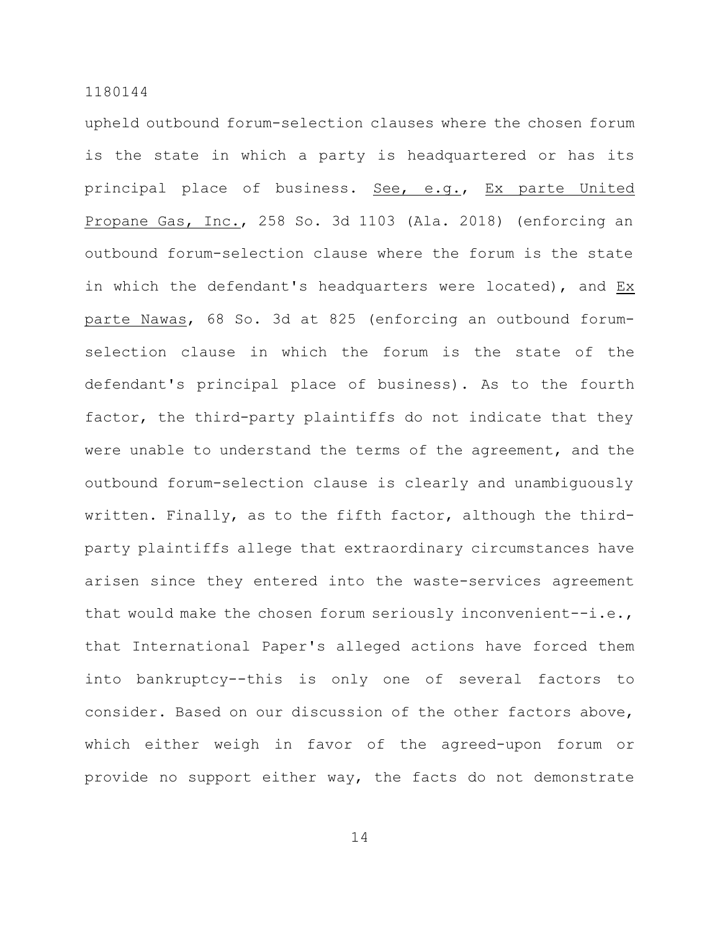upheld outbound forum-selection clauses where the chosen forum is the state in which a party is headquartered or has its principal place of business. See, e.g., Ex parte United Propane Gas, Inc., 258 So. 3d 1103 (Ala. 2018) (enforcing an outbound forum-selection clause where the forum is the state in which the defendant's headquarters were located), and Ex parte Nawas, 68 So. 3d at 825 (enforcing an outbound forumselection clause in which the forum is the state of the defendant's principal place of business). As to the fourth factor, the third-party plaintiffs do not indicate that they were unable to understand the terms of the agreement, and the outbound forum-selection clause is clearly and unambiguously written. Finally, as to the fifth factor, although the thirdparty plaintiffs allege that extraordinary circumstances have arisen since they entered into the waste-services agreement that would make the chosen forum seriously inconvenient--i.e., that International Paper's alleged actions have forced them into bankruptcy--this is only one of several factors to consider. Based on our discussion of the other factors above, which either weigh in favor of the agreed-upon forum or provide no support either way, the facts do not demonstrate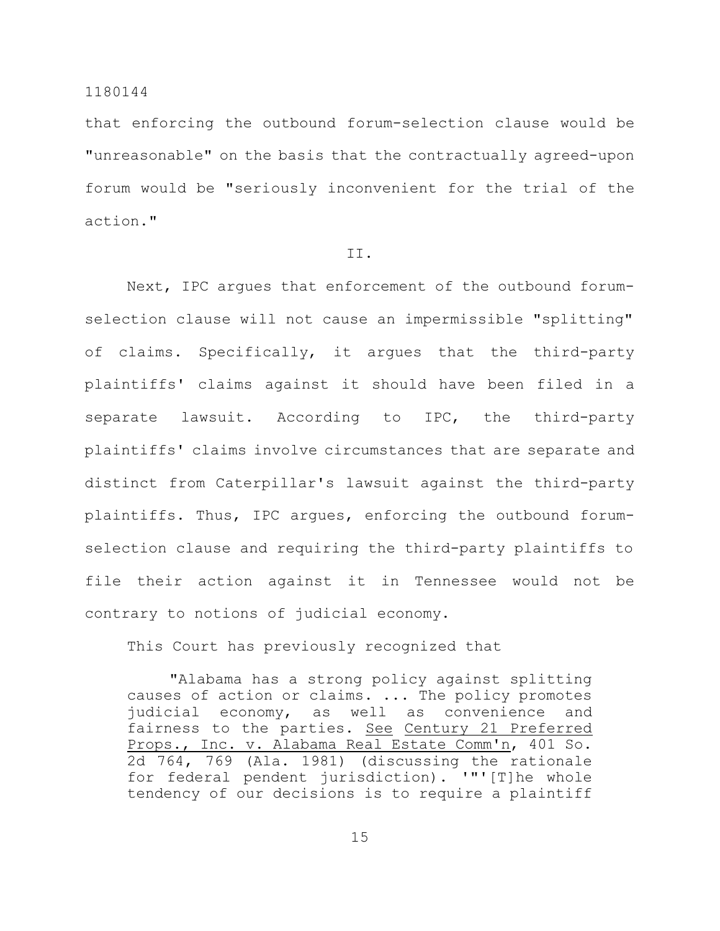that enforcing the outbound forum-selection clause would be "unreasonable" on the basis that the contractually agreed-upon forum would be "seriously inconvenient for the trial of the action."

# II.

Next, IPC argues that enforcement of the outbound forumselection clause will not cause an impermissible "splitting" of claims. Specifically, it argues that the third-party plaintiffs' claims against it should have been filed in a separate lawsuit. According to IPC, the third-party plaintiffs' claims involve circumstances that are separate and distinct from Caterpillar's lawsuit against the third-party plaintiffs. Thus, IPC argues, enforcing the outbound forumselection clause and requiring the third-party plaintiffs to file their action against it in Tennessee would not be contrary to notions of judicial economy.

This Court has previously recognized that

"Alabama has a strong policy against splitting causes of action or claims. ... The policy promotes judicial economy, as well as convenience and fairness to the parties. See Century 21 Preferred Props., Inc. v. Alabama Real Estate Comm'n, 401 So. 2d 764, 769 (Ala. 1981) (discussing the rationale for federal pendent jurisdiction). '"'[T]he whole tendency of our decisions is to require a plaintiff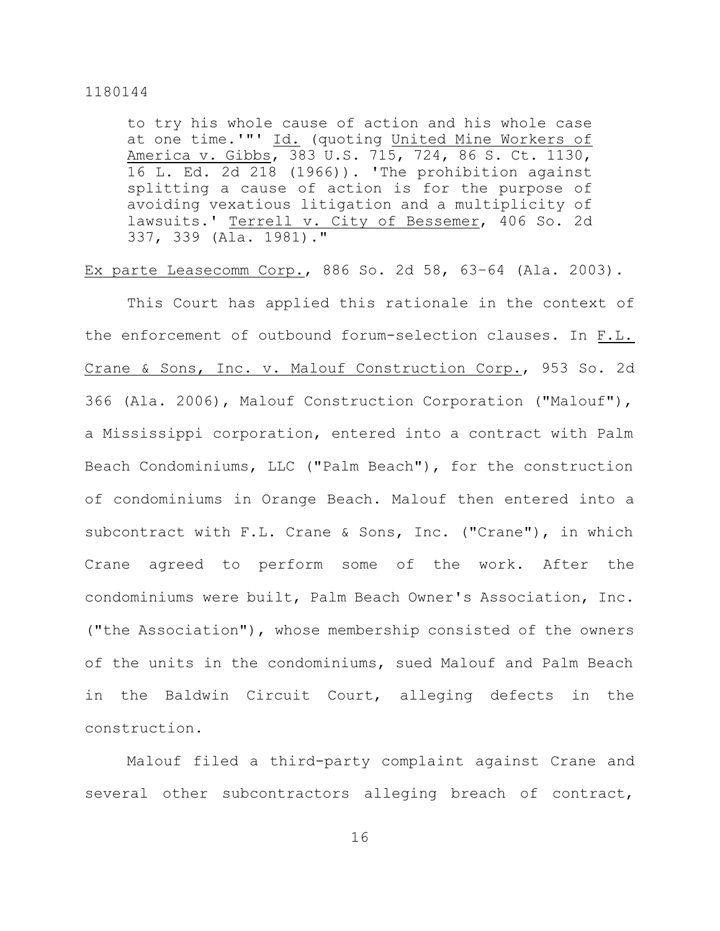to try his whole cause of action and his whole case at one time.'"' Id. (quoting United Mine Workers of America v. Gibbs, 383 U.S. 715, 724, 86 S. Ct. 1130, 16 L. Ed. 2d 218 (1966)). 'The prohibition against splitting a cause of action is for the purpose of avoiding vexatious litigation and a multiplicity of lawsuits.' Terrell v. City of Bessemer, 406 So. 2d 337, 339 (Ala. 1981)."

Ex parte Leasecomm Corp., 886 So. 2d 58, 63–64 (Ala. 2003).

This Court has applied this rationale in the context of the enforcement of outbound forum-selection clauses. In F.L. Crane & Sons, Inc. v. Malouf Construction Corp., 953 So. 2d 366 (Ala. 2006), Malouf Construction Corporation ("Malouf"), a Mississippi corporation, entered into a contract with Palm Beach Condominiums, LLC ("Palm Beach"), for the construction of condominiums in Orange Beach. Malouf then entered into a subcontract with F.L. Crane & Sons, Inc. ("Crane"), in which Crane agreed to perform some of the work. After the condominiums were built, Palm Beach Owner's Association, Inc. ("the Association"), whose membership consisted of the owners of the units in the condominiums, sued Malouf and Palm Beach in the Baldwin Circuit Court, alleging defects in the construction.

Malouf filed a third-party complaint against Crane and several other subcontractors alleging breach of contract,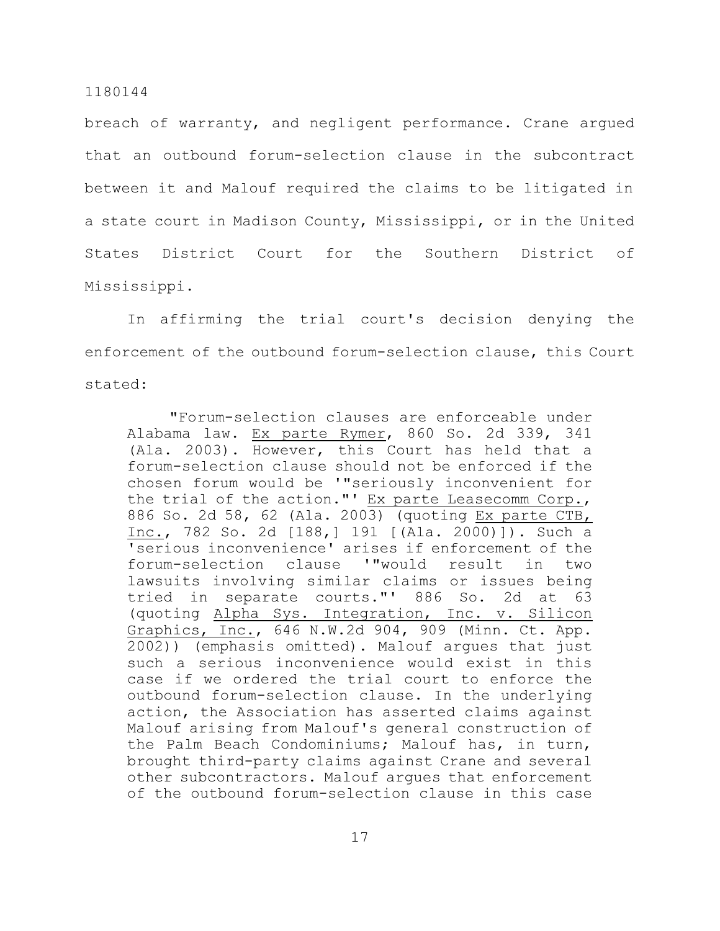breach of warranty, and negligent performance. Crane argued that an outbound forum-selection clause in the subcontract between it and Malouf required the claims to be litigated in a state court in Madison County, Mississippi, or in the United States District Court for the Southern District of Mississippi.

In affirming the trial court's decision denying the enforcement of the outbound forum-selection clause, this Court stated:

"Forum-selection clauses are enforceable under Alabama law. Ex parte Rymer, 860 So. 2d 339, 341 (Ala. 2003). However, this Court has held that a forum-selection clause should not be enforced if the chosen forum would be '"seriously inconvenient for the trial of the action."' Ex parte Leasecomm Corp., 886 So. 2d 58, 62 (Ala. 2003) (quoting Ex parte CTB, Inc., 782 So. 2d [188,] 191 [(Ala. 2000)]). Such a 'serious inconvenience' arises if enforcement of the forum-selection clause '"would result in two lawsuits involving similar claims or issues being tried in separate courts."' 886 So. 2d at 63 (quoting Alpha Sys. Integration, Inc. v. Silicon Graphics, Inc., 646 N.W.2d 904, 909 (Minn. Ct. App. 2002)) (emphasis omitted). Malouf argues that just such a serious inconvenience would exist in this case if we ordered the trial court to enforce the outbound forum-selection clause. In the underlying action, the Association has asserted claims against Malouf arising from Malouf's general construction of the Palm Beach Condominiums; Malouf has, in turn, brought third-party claims against Crane and several other subcontractors. Malouf argues that enforcement of the outbound forum-selection clause in this case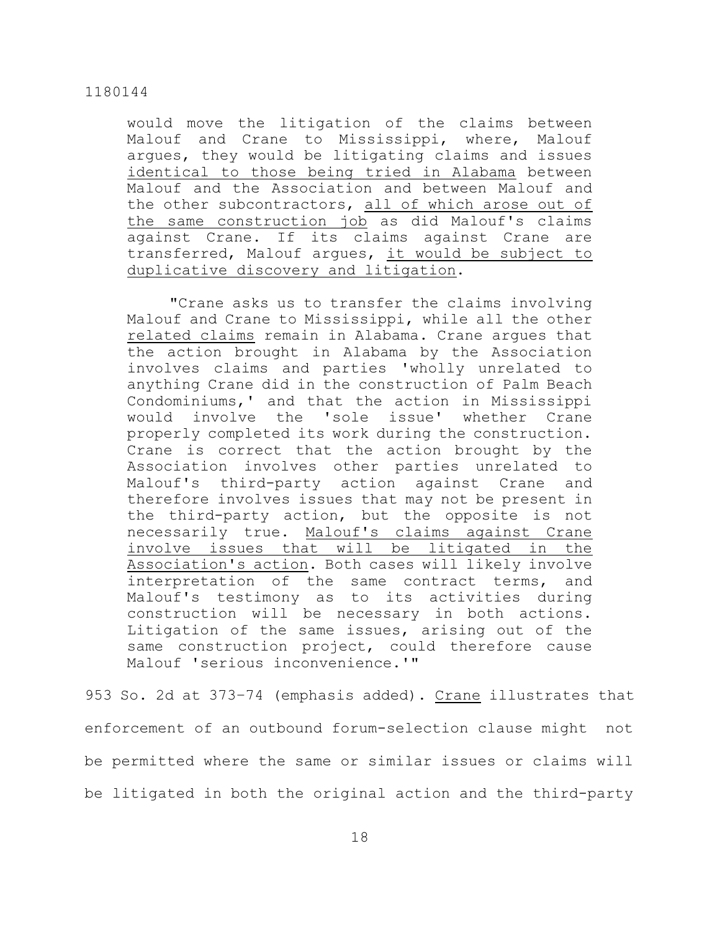would move the litigation of the claims between Malouf and Crane to Mississippi, where, Malouf argues, they would be litigating claims and issues identical to those being tried in Alabama between Malouf and the Association and between Malouf and the other subcontractors, all of which arose out of the same construction job as did Malouf's claims against Crane. If its claims against Crane are transferred, Malouf argues, it would be subject to duplicative discovery and litigation.

"Crane asks us to transfer the claims involving Malouf and Crane to Mississippi, while all the other related claims remain in Alabama. Crane argues that the action brought in Alabama by the Association involves claims and parties 'wholly unrelated to anything Crane did in the construction of Palm Beach Condominiums,' and that the action in Mississippi would involve the 'sole issue' whether Crane properly completed its work during the construction. Crane is correct that the action brought by the Association involves other parties unrelated to Malouf's third-party action against Crane and therefore involves issues that may not be present in the third-party action, but the opposite is not necessarily true. Malouf's claims against Crane involve issues that will be litigated in the Association's action. Both cases will likely involve interpretation of the same contract terms, and Malouf's testimony as to its activities during construction will be necessary in both actions. Litigation of the same issues, arising out of the same construction project, could therefore cause Malouf 'serious inconvenience.'"

953 So. 2d at 373–74 (emphasis added). Crane illustrates that enforcement of an outbound forum-selection clause might not be permitted where the same or similar issues or claims will be litigated in both the original action and the third-party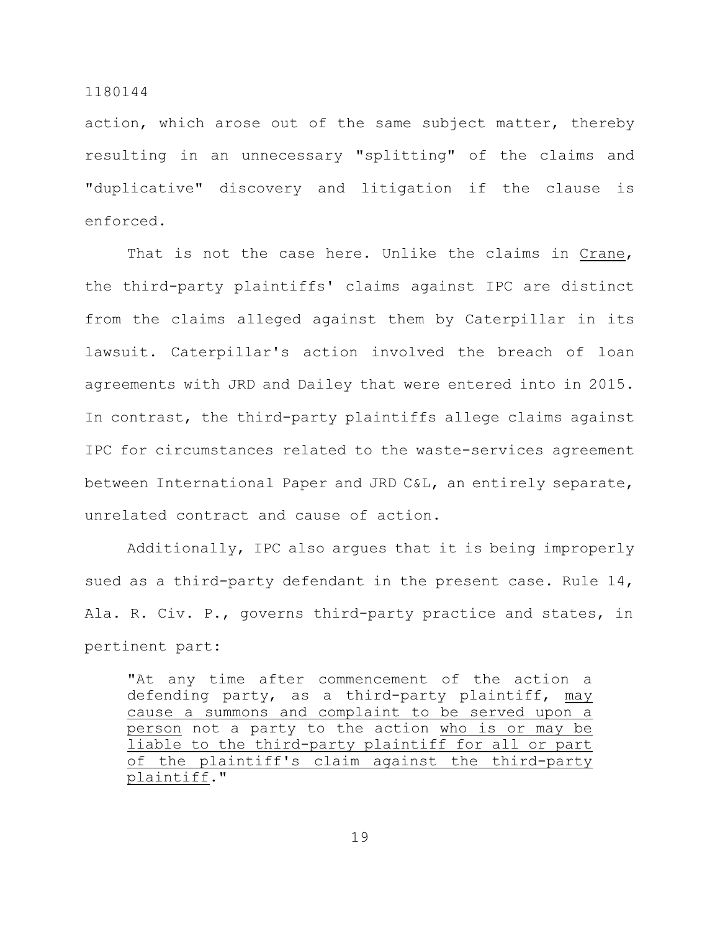action, which arose out of the same subject matter, thereby resulting in an unnecessary "splitting" of the claims and "duplicative" discovery and litigation if the clause is enforced.

That is not the case here. Unlike the claims in Crane, the third-party plaintiffs' claims against IPC are distinct from the claims alleged against them by Caterpillar in its lawsuit. Caterpillar's action involved the breach of loan agreements with JRD and Dailey that were entered into in 2015. In contrast, the third-party plaintiffs allege claims against IPC for circumstances related to the waste-services agreement between International Paper and JRD C&L, an entirely separate, unrelated contract and cause of action.

Additionally, IPC also argues that it is being improperly sued as a third-party defendant in the present case. Rule 14, Ala. R. Civ. P., governs third-party practice and states, in pertinent part:

"At any time after commencement of the action a defending party, as a third-party plaintiff, may cause a summons and complaint to be served upon a person not a party to the action who is or may be liable to the third-party plaintiff for all or part of the plaintiff's claim against the third-party plaintiff."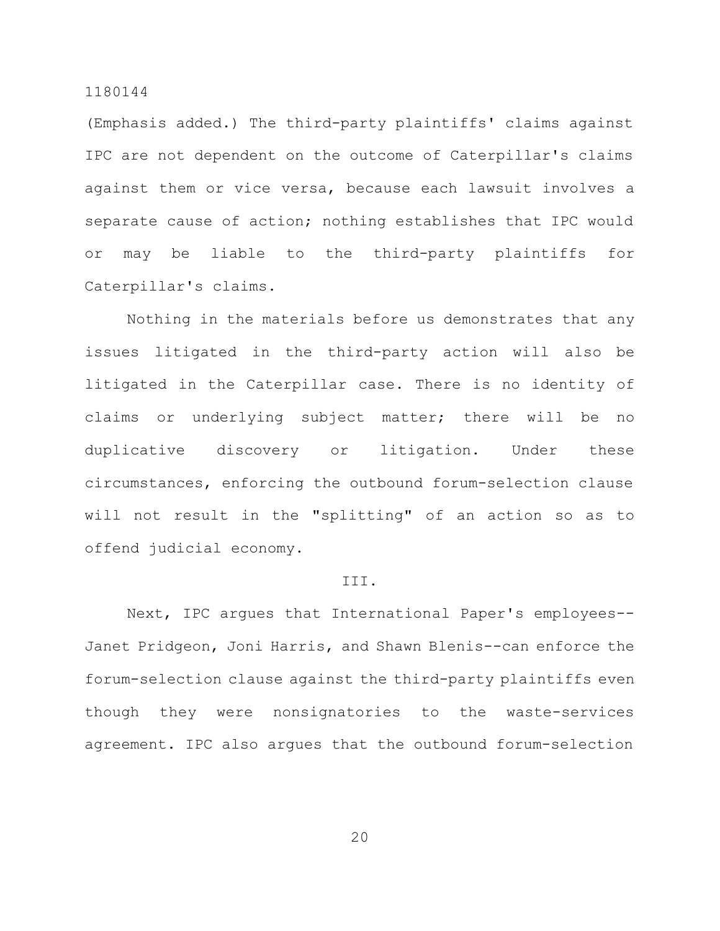(Emphasis added.) The third-party plaintiffs' claims against IPC are not dependent on the outcome of Caterpillar's claims against them or vice versa, because each lawsuit involves a separate cause of action; nothing establishes that IPC would or may be liable to the third-party plaintiffs for Caterpillar's claims.

Nothing in the materials before us demonstrates that any issues litigated in the third-party action will also be litigated in the Caterpillar case. There is no identity of claims or underlying subject matter; there will be no duplicative discovery or litigation. Under these circumstances, enforcing the outbound forum-selection clause will not result in the "splitting" of an action so as to offend judicial economy.

#### III.

Next, IPC argues that International Paper's employees-- Janet Pridgeon, Joni Harris, and Shawn Blenis--can enforce the forum-selection clause against the third-party plaintiffs even though they were nonsignatories to the waste-services agreement. IPC also argues that the outbound forum-selection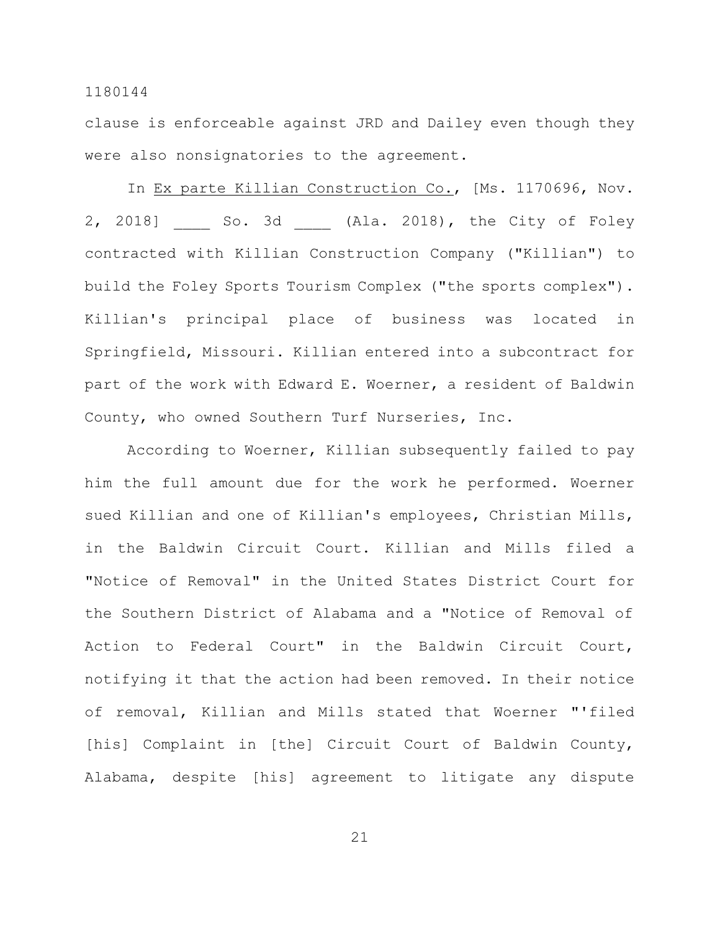clause is enforceable against JRD and Dailey even though they were also nonsignatories to the agreement.

In Ex parte Killian Construction Co., [Ms. 1170696, Nov. 2, 2018] So. 3d (Ala. 2018), the City of Foley contracted with Killian Construction Company ("Killian") to build the Foley Sports Tourism Complex ("the sports complex"). Killian's principal place of business was located in Springfield, Missouri. Killian entered into a subcontract for part of the work with Edward E. Woerner, a resident of Baldwin County, who owned Southern Turf Nurseries, Inc.

According to Woerner, Killian subsequently failed to pay him the full amount due for the work he performed. Woerner sued Killian and one of Killian's employees, Christian Mills, in the Baldwin Circuit Court. Killian and Mills filed a "Notice of Removal" in the United States District Court for the Southern District of Alabama and a "Notice of Removal of Action to Federal Court" in the Baldwin Circuit Court, notifying it that the action had been removed. In their notice of removal, Killian and Mills stated that Woerner "'filed [his] Complaint in [the] Circuit Court of Baldwin County, Alabama, despite [his] agreement to litigate any dispute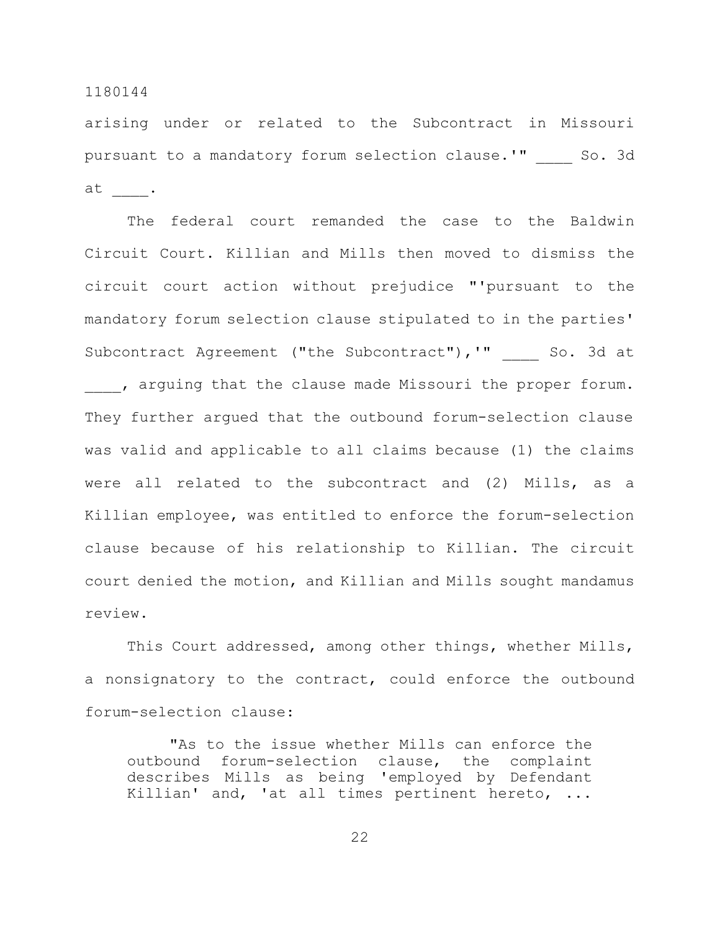arising under or related to the Subcontract in Missouri pursuant to a mandatory forum selection clause.'" So. 3d at \_\_\_\_.

The federal court remanded the case to the Baldwin Circuit Court. Killian and Mills then moved to dismiss the circuit court action without prejudice "'pursuant to the mandatory forum selection clause stipulated to in the parties' Subcontract Agreement ("the Subcontract"), '" So. 3d at , arguing that the clause made Missouri the proper forum. They further argued that the outbound forum-selection clause was valid and applicable to all claims because (1) the claims were all related to the subcontract and (2) Mills, as a Killian employee, was entitled to enforce the forum-selection clause because of his relationship to Killian. The circuit court denied the motion, and Killian and Mills sought mandamus review.

This Court addressed, among other things, whether Mills, a nonsignatory to the contract, could enforce the outbound forum-selection clause:

"As to the issue whether Mills can enforce the outbound forum-selection clause, the complaint describes Mills as being 'employed by Defendant Killian' and, 'at all times pertinent hereto, ...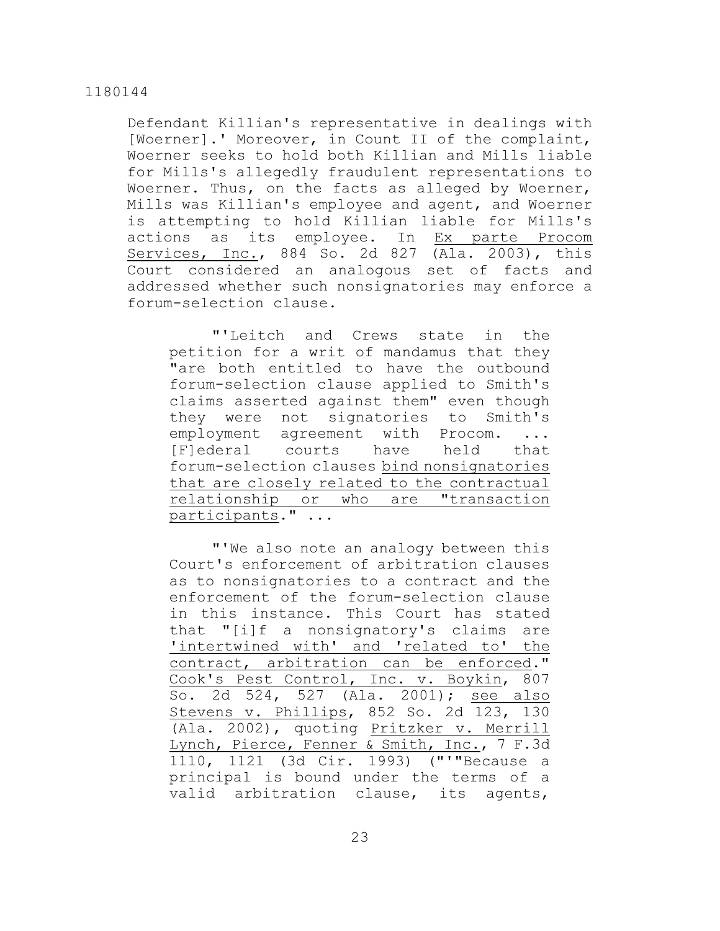Defendant Killian's representative in dealings with [Woerner].' Moreover, in Count II of the complaint, Woerner seeks to hold both Killian and Mills liable for Mills's allegedly fraudulent representations to Woerner. Thus, on the facts as alleged by Woerner, Mills was Killian's employee and agent, and Woerner is attempting to hold Killian liable for Mills's actions as its employee. In Ex parte Procom Services, Inc., 884 So. 2d 827 (Ala. 2003), this Court considered an analogous set of facts and addressed whether such nonsignatories may enforce a forum-selection clause.

"'Leitch and Crews state in the petition for a writ of mandamus that they "are both entitled to have the outbound forum-selection clause applied to Smith's claims asserted against them" even though they were not signatories to Smith's employment agreement with Procom. [F]ederal courts have held that forum-selection clauses bind nonsignatories that are closely related to the contractual relationship or who are "transaction participants." ...

"'We also note an analogy between this Court's enforcement of arbitration clauses as to nonsignatories to a contract and the enforcement of the forum-selection clause in this instance. This Court has stated that "[i]f a nonsignatory's claims are 'intertwined with' and 'related to' the contract, arbitration can be enforced." Cook's Pest Control, Inc. v. Boykin, 807 So. 2d 524, 527 (Ala. 2001); see also Stevens v. Phillips, 852 So. 2d 123, 130 (Ala. 2002), quoting Pritzker v. Merrill Lynch, Pierce, Fenner & Smith, Inc., 7 F.3d 1110, 1121 (3d Cir. 1993) ("'"Because a principal is bound under the terms of a valid arbitration clause, its agents,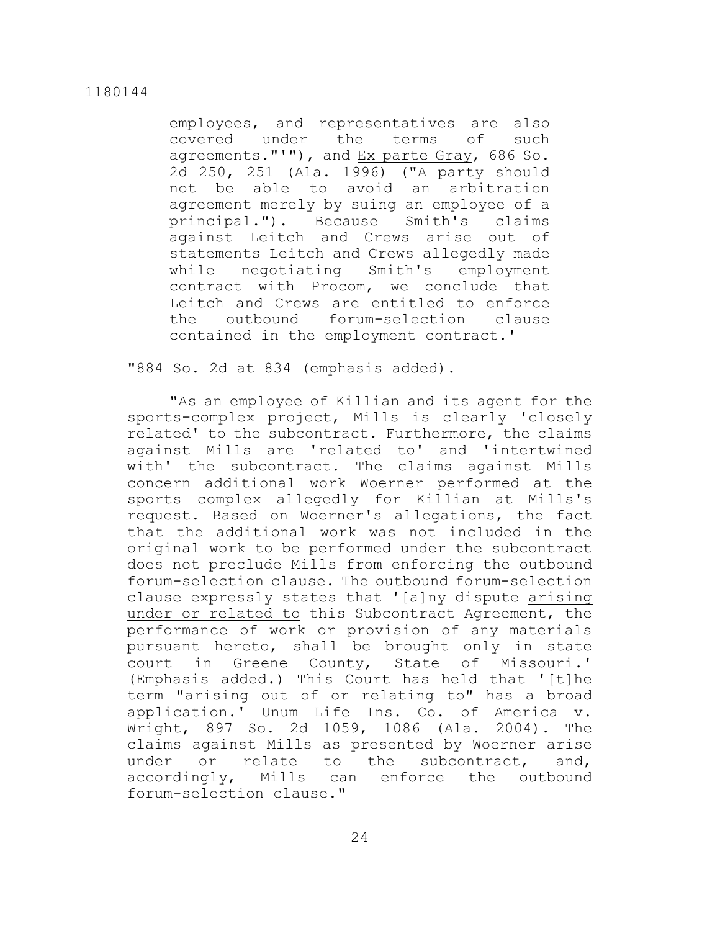employees, and representatives are also covered under the terms of such agreements."'"), and Ex parte Gray, 686 So. 2d 250, 251 (Ala. 1996) ("A party should not be able to avoid an arbitration agreement merely by suing an employee of a principal."). Because Smith's claims against Leitch and Crews arise out of statements Leitch and Crews allegedly made while negotiating Smith's employment contract with Procom, we conclude that Leitch and Crews are entitled to enforce the outbound forum-selection clause contained in the employment contract.'

"884 So. 2d at 834 (emphasis added).

"As an employee of Killian and its agent for the sports-complex project, Mills is clearly 'closely related' to the subcontract. Furthermore, the claims against Mills are 'related to' and 'intertwined with' the subcontract. The claims against Mills concern additional work Woerner performed at the sports complex allegedly for Killian at Mills's request. Based on Woerner's allegations, the fact that the additional work was not included in the original work to be performed under the subcontract does not preclude Mills from enforcing the outbound forum-selection clause. The outbound forum-selection clause expressly states that '[a]ny dispute arising under or related to this Subcontract Agreement, the performance of work or provision of any materials pursuant hereto, shall be brought only in state court in Greene County, State of Missouri.' (Emphasis added.) This Court has held that '[t]he term "arising out of or relating to" has a broad application.' Unum Life Ins. Co. of America v. Wright, 897 So. 2d 1059, 1086 (Ala. 2004). The claims against Mills as presented by Woerner arise under or relate to the subcontract, and, accordingly, Mills can enforce the outbound forum-selection clause."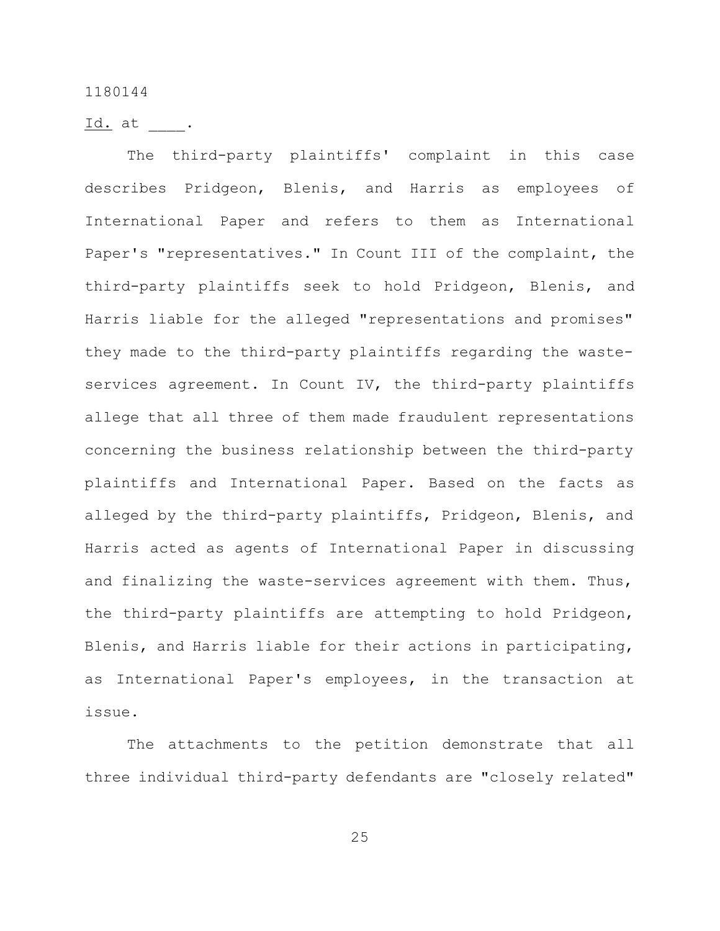Id. at .

The third-party plaintiffs' complaint in this case describes Pridgeon, Blenis, and Harris as employees of International Paper and refers to them as International Paper's "representatives." In Count III of the complaint, the third-party plaintiffs seek to hold Pridgeon, Blenis, and Harris liable for the alleged "representations and promises" they made to the third-party plaintiffs regarding the wasteservices agreement. In Count IV, the third-party plaintiffs allege that all three of them made fraudulent representations concerning the business relationship between the third-party plaintiffs and International Paper. Based on the facts as alleged by the third-party plaintiffs, Pridgeon, Blenis, and Harris acted as agents of International Paper in discussing and finalizing the waste-services agreement with them. Thus, the third-party plaintiffs are attempting to hold Pridgeon, Blenis, and Harris liable for their actions in participating, as International Paper's employees, in the transaction at issue.

The attachments to the petition demonstrate that all three individual third-party defendants are "closely related"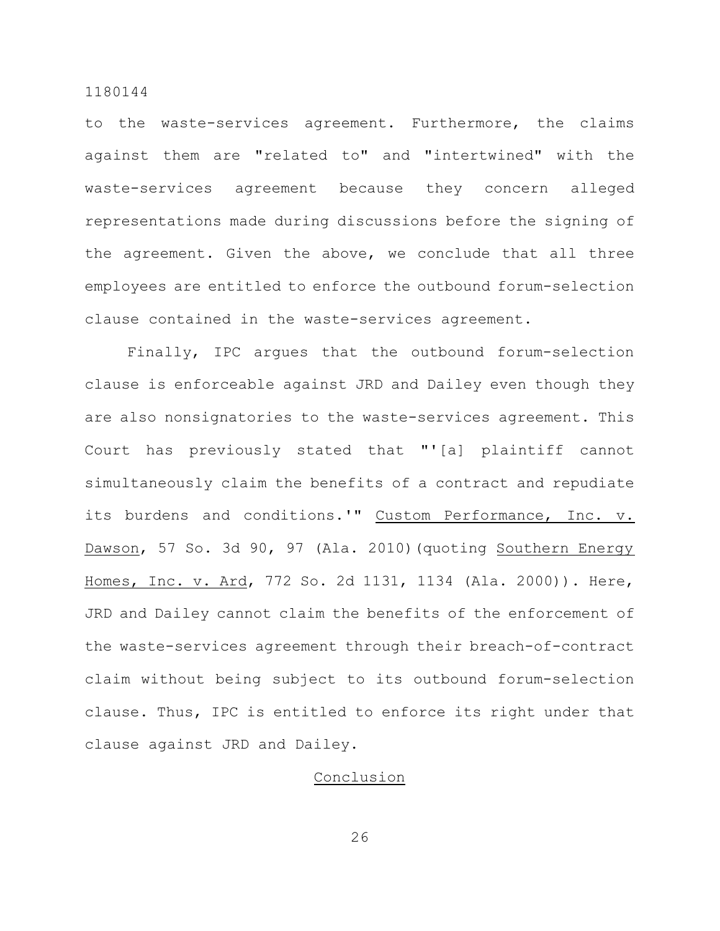to the waste-services agreement. Furthermore, the claims against them are "related to" and "intertwined" with the waste-services agreement because they concern alleged representations made during discussions before the signing of the agreement. Given the above, we conclude that all three employees are entitled to enforce the outbound forum-selection clause contained in the waste-services agreement.

Finally, IPC argues that the outbound forum-selection clause is enforceable against JRD and Dailey even though they are also nonsignatories to the waste-services agreement. This Court has previously stated that "'[a] plaintiff cannot simultaneously claim the benefits of a contract and repudiate its burdens and conditions.'" Custom Performance, Inc. v. Dawson, 57 So. 3d 90, 97 (Ala. 2010) (quoting Southern Energy Homes, Inc. v. Ard, 772 So. 2d 1131, 1134 (Ala. 2000)). Here, JRD and Dailey cannot claim the benefits of the enforcement of the waste-services agreement through their breach-of-contract claim without being subject to its outbound forum-selection clause. Thus, IPC is entitled to enforce its right under that clause against JRD and Dailey.

# Conclusion